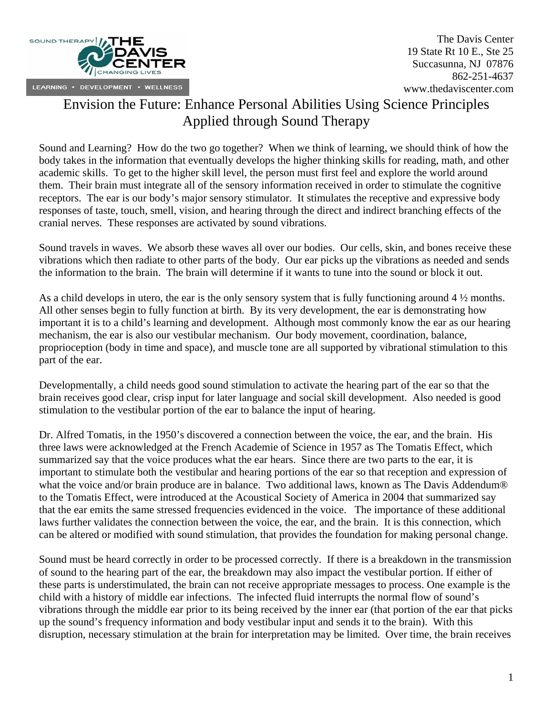

# Envision the Future: Enhance Personal Abilities Using Science Principles Applied through Sound Therapy

Sound and Learning? How do the two go together? When we think of learning, we should think of how the body takes in the information that eventually develops the higher thinking skills for reading, math, and other academic skills. To get to the higher skill level, the person must first feel and explore the world around them. Their brain must integrate all of the sensory information received in order to stimulate the cognitive receptors. The ear is our body's major sensory stimulator. It stimulates the receptive and expressive body responses of taste, touch, smell, vision, and hearing through the direct and indirect branching effects of the cranial nerves. These responses are activated by sound vibrations.

Sound travels in waves. We absorb these waves all over our bodies. Our cells, skin, and bones receive these vibrations which then radiate to other parts of the body. Our ear picks up the vibrations as needed and sends the information to the brain. The brain will determine if it wants to tune into the sound or block it out.

As a child develops in utero, the ear is the only sensory system that is fully functioning around 4 ½ months. All other senses begin to fully function at birth. By its very development, the ear is demonstrating how important it is to a child's learning and development. Although most commonly know the ear as our hearing mechanism, the ear is also our vestibular mechanism. Our body movement, coordination, balance, proprioception (body in time and space), and muscle tone are all supported by vibrational stimulation to this part of the ear.

Developmentally, a child needs good sound stimulation to activate the hearing part of the ear so that the brain receives good clear, crisp input for later language and social skill development. Also needed is good stimulation to the vestibular portion of the ear to balance the input of hearing.

Dr. Alfred Tomatis, in the 1950's discovered a connection between the voice, the ear, and the brain. His three laws were acknowledged at the French Academie of Science in 1957 as The Tomatis Effect, which summarized say that the voice produces what the ear hears. Since there are two parts to the ear, it is important to stimulate both the vestibular and hearing portions of the ear so that reception and expression of what the voice and/or brain produce are in balance. Two additional laws, known as The Davis Addendum<sup>®</sup> to the Tomatis Effect, were introduced at the Acoustical Society of America in 2004 that summarized say that the ear emits the same stressed frequencies evidenced in the voice. The importance of these additional laws further validates the connection between the voice, the ear, and the brain. It is this connection, which can be altered or modified with sound stimulation, that provides the foundation for making personal change.

Sound must be heard correctly in order to be processed correctly. If there is a breakdown in the transmission of sound to the hearing part of the ear, the breakdown may also impact the vestibular portion. If either of these parts is understimulated, the brain can not receive appropriate messages to process. One example is the child with a history of middle ear infections. The infected fluid interrupts the normal flow of sound's vibrations through the middle ear prior to its being received by the inner ear (that portion of the ear that picks up the sound's frequency information and body vestibular input and sends it to the brain). With this disruption, necessary stimulation at the brain for interpretation may be limited. Over time, the brain receives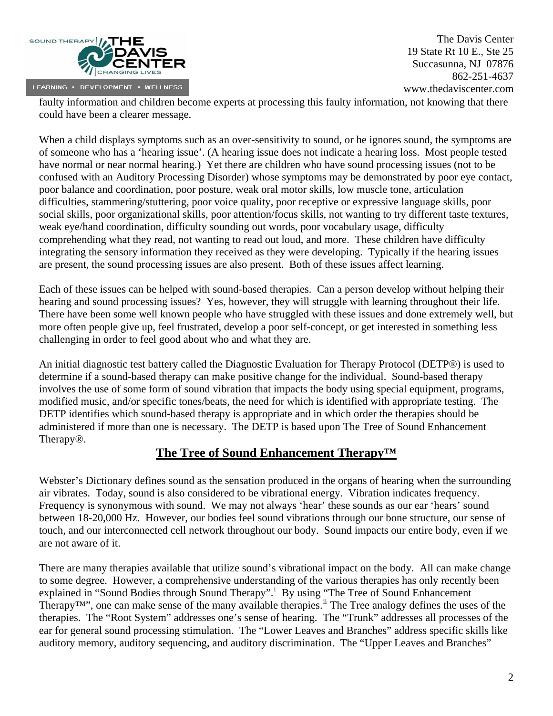

faulty information and children become experts at processing this faulty information, not knowing that there could have been a clearer message.

When a child displays symptoms such as an over-sensitivity to sound, or he ignores sound, the symptoms are of someone who has a 'hearing issue'. (A hearing issue does not indicate a hearing loss. Most people tested have normal or near normal hearing.) Yet there are children who have sound processing issues (not to be confused with an Auditory Processing Disorder) whose symptoms may be demonstrated by poor eye contact, poor balance and coordination, poor posture, weak oral motor skills, low muscle tone, articulation difficulties, stammering/stuttering, poor voice quality, poor receptive or expressive language skills, poor social skills, poor organizational skills, poor attention/focus skills, not wanting to try different taste textures, weak eye/hand coordination, difficulty sounding out words, poor vocabulary usage, difficulty comprehending what they read, not wanting to read out loud, and more. These children have difficulty integrating the sensory information they received as they were developing. Typically if the hearing issues are present, the sound processing issues are also present. Both of these issues affect learning.

Each of these issues can be helped with sound-based therapies. Can a person develop without helping their hearing and sound processing issues? Yes, however, they will struggle with learning throughout their life. There have been some well known people who have struggled with these issues and done extremely well, but more often people give up, feel frustrated, develop a poor self-concept, or get interested in something less challenging in order to feel good about who and what they are.

An initial diagnostic test battery called the Diagnostic Evaluation for Therapy Protocol (DETP®) is used to determine if a sound-based therapy can make positive change for the individual. Sound-based therapy involves the use of some form of sound vibration that impacts the body using special equipment, programs, modified music, and/or specific tones/beats, the need for which is identified with appropriate testing. The DETP identifies which sound-based therapy is appropriate and in which order the therapies should be administered if more than one is necessary. The DETP is based upon The Tree of Sound Enhancement Therapy®.

### **The Tree of Sound Enhancement Therapy™**

Webster's Dictionary defines sound as the sensation produced in the organs of hearing when the surrounding air vibrates. Today, sound is also considered to be vibrational energy. Vibration indicates frequency. Frequency is synonymous with sound. We may not always 'hear' these sounds as our ear 'hears' sound between 18-20,000 Hz. However, our bodies feel sound vibrations through our bone structure, our sense of touch, and our interconnected cell network throughout our body. Sound impacts our entire body, even if we are not aware of it.

There are many therapies available that utilize sound's vibrational impact on the body. All can make change to some degree. However, a comprehensive understanding of the various therapies has only recently been expla[i](#page-9-0)ned in "Sound Bodies through Sound Therapy".<sup>i</sup> By using "The Tree of Sound Enhancement" Therapy<sup>TM"</sup>, one can make sense of the many available therapies.<sup>[ii](#page-9-1)</sup> The Tree analogy defines the uses of the therapies. The "Root System" addresses one's sense of hearing. The "Trunk" addresses all processes of the ear for general sound processing stimulation. The "Lower Leaves and Branches" address specific skills like auditory memory, auditory sequencing, and auditory discrimination. The "Upper Leaves and Branches"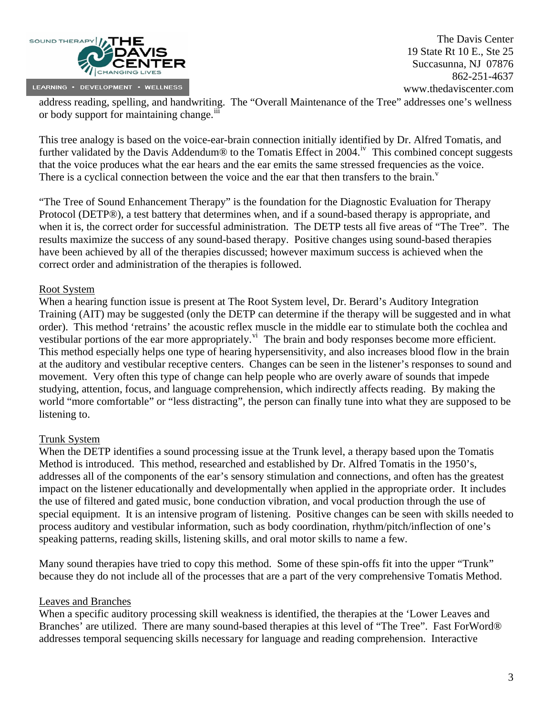

address reading, spelling, and handwriting. The "Overall Maintenance of the Tree" addresses one's wellness or body support for maintaining change.<sup>[iii](#page-9-1)</sup>

This tree analogy is based on the voice-ear-brain connection initially identified by Dr. Alfred Tomatis, and further validated by the Davis Addendum® to the Tomatis Effect in 2004.<sup>[iv](#page-9-1)</sup> This combined concept suggests that the voice produces what the ear hears and the ear emits the same stressed frequencies as the voice. There is a cyclical connection between the [v](#page-9-1)oice and the ear that then transfers to the brain.<sup> $v$ </sup>

"The Tree of Sound Enhancement Therapy" is the foundation for the Diagnostic Evaluation for Therapy Protocol (DETP®), a test battery that determines when, and if a sound-based therapy is appropriate, and when it is, the correct order for successful administration. The DETP tests all five areas of "The Tree". The results maximize the success of any sound-based therapy. Positive changes using sound-based therapies have been achieved by all of the therapies discussed; however maximum success is achieved when the correct order and administration of the therapies is followed.

#### Root System

When a hearing function issue is present at The Root System level, Dr. Berard's Auditory Integration Training (AIT) may be suggested (only the DETP can determine if the therapy will be suggested and in what order). This method 'retrains' the acoustic reflex muscle in the middle ear to stimulate both the cochlea and vestibular portions of the ear more appropriately.<sup>[vi](#page-9-1)</sup> The brain and body responses become more efficient. This method especially helps one type of hearing hypersensitivity, and also increases blood flow in the brain at the auditory and vestibular receptive centers. Changes can be seen in the listener's responses to sound and movement. Very often this type of change can help people who are overly aware of sounds that impede studying, attention, focus, and language comprehension, which indirectly affects reading. By making the world "more comfortable" or "less distracting", the person can finally tune into what they are supposed to be listening to.

#### Trunk System

When the DETP identifies a sound processing issue at the Trunk level, a therapy based upon the Tomatis Method is introduced. This method, researched and established by Dr. Alfred Tomatis in the 1950's, addresses all of the components of the ear's sensory stimulation and connections, and often has the greatest impact on the listener educationally and developmentally when applied in the appropriate order. It includes the use of filtered and gated music, bone conduction vibration, and vocal production through the use of special equipment. It is an intensive program of listening. Positive changes can be seen with skills needed to process auditory and vestibular information, such as body coordination, rhythm/pitch/inflection of one's speaking patterns, reading skills, listening skills, and oral motor skills to name a few.

Many sound therapies have tried to copy this method. Some of these spin-offs fit into the upper "Trunk" because they do not include all of the processes that are a part of the very comprehensive Tomatis Method.

#### Leaves and Branches

When a specific auditory processing skill weakness is identified, the therapies at the 'Lower Leaves and Branches' are utilized. There are many sound-based therapies at this level of "The Tree". Fast ForWord® addresses temporal sequencing skills necessary for language and reading comprehension. Interactive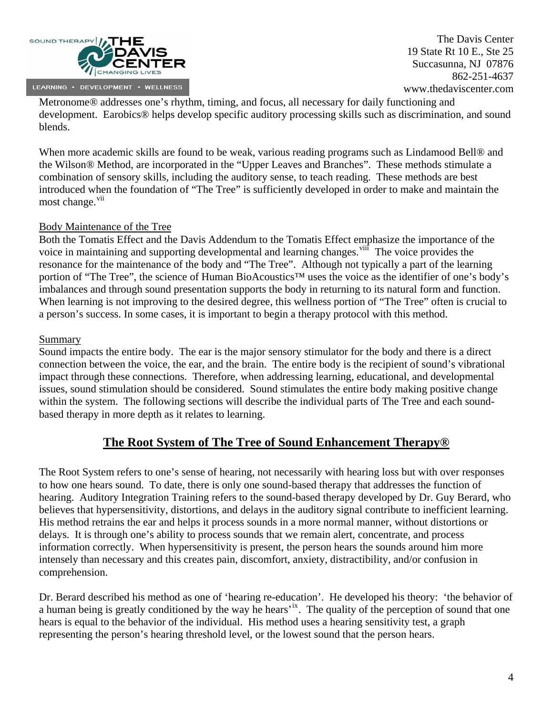

Metronome® addresses one's rhythm, timing, and focus, all necessary for daily functioning and development. Earobics® helps develop specific auditory processing skills such as discrimination, and sound blends.

When more academic skills are found to be weak, various reading programs such as Lindamood Bell® and the Wilson® Method, are incorporated in the "Upper Leaves and Branches". These methods stimulate a combination of sensory skills, including the auditory sense, to teach reading. These methods are best introduced when the foundation of "The Tree" is sufficiently developed in order to make and maintain the most change.<sup>[vii](#page-9-1)</sup>

#### Body Maintenance of the Tree

Both the Tomatis Effect and the Davis Addendum to the Tomatis Effect emphasize the importance of the voice in maintaining and supporting developmental and learning changes.<sup>viif</sup> The voice provides the resonance for the maintenance of the body and "The Tree". Although not typically a part of the learning portion of "The Tree", the science of Human BioAcoustics™ uses the voice as the identifier of one's body's imbalances and through sound presentation supports the body in returning to its natural form and function. When learning is not improving to the desired degree, this wellness portion of "The Tree" often is crucial to a person's success. In some cases, it is important to begin a therapy protocol with this method.

#### Summary

Sound impacts the entire body. The ear is the major sensory stimulator for the body and there is a direct connection between the voice, the ear, and the brain. The entire body is the recipient of sound's vibrational impact through these connections. Therefore, when addressing learning, educational, and developmental issues, sound stimulation should be considered. Sound stimulates the entire body making positive change within the system. The following sections will describe the individual parts of The Tree and each soundbased therapy in more depth as it relates to learning.

### **The Root System of The Tree of Sound Enhancement Therapy®**

The Root System refers to one's sense of hearing, not necessarily with hearing loss but with over responses to how one hears sound. To date, there is only one sound-based therapy that addresses the function of hearing. Auditory Integration Training refers to the sound-based therapy developed by Dr. Guy Berard, who believes that hypersensitivity, distortions, and delays in the auditory signal contribute to inefficient learning. His method retrains the ear and helps it process sounds in a more normal manner, without distortions or delays. It is through one's ability to process sounds that we remain alert, concentrate, and process information correctly. When hypersensitivity is present, the person hears the sounds around him more intensely than necessary and this creates pain, discomfort, anxiety, distractibility, and/or confusion in comprehension.

Dr. Berard described his method as one of 'hearing re-education'. He developed his theory: 'the behavior of a human being is greatly conditioned by the way he hears<sup>'[ix](#page-9-1)</sup>. The quality of the perception of sound that one hears is equal to the behavior of the individual. His method uses a hearing sensitivity test, a graph representing the person's hearing threshold level, or the lowest sound that the person hears.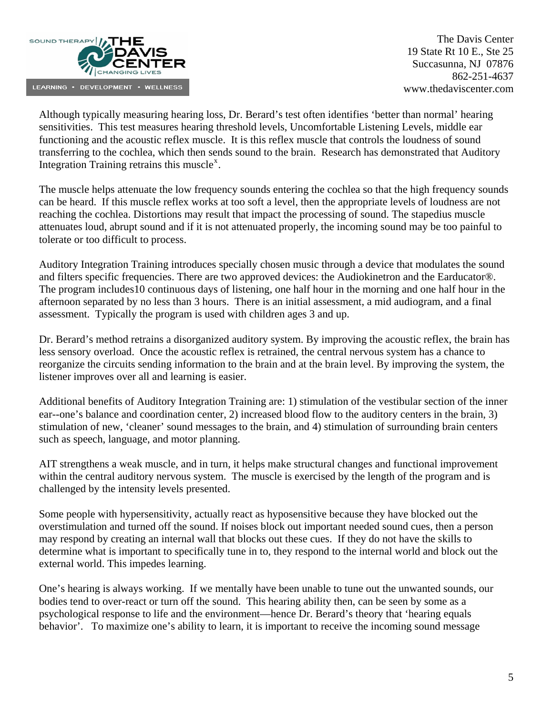

Although typically measuring hearing loss, Dr. Berard's test often identifies 'better than normal' hearing sensitivities. This test measures hearing threshold levels, Uncomfortable Listening Levels, middle ear functioning and the acoustic reflex muscle. It is this reflex muscle that controls the loudness of sound transferring to the cochlea, which then sends sound to the brain. Research has demonstrated that Auditory Integration Training retrains this muscle<sup>[x](#page-9-1)</sup>.

The muscle helps attenuate the low frequency sounds entering the cochlea so that the high frequency sounds can be heard. If this muscle reflex works at too soft a level, then the appropriate levels of loudness are not reaching the cochlea. Distortions may result that impact the processing of sound. The stapedius muscle attenuates loud, abrupt sound and if it is not attenuated properly, the incoming sound may be too painful to tolerate or too difficult to process.

Auditory Integration Training introduces specially chosen music through a device that modulates the sound and filters specific frequencies. There are two approved devices: the Audiokinetron and the Earducator®. The program includes10 continuous days of listening, one half hour in the morning and one half hour in the afternoon separated by no less than 3 hours. There is an initial assessment, a mid audiogram, and a final assessment. Typically the program is used with children ages 3 and up.

Dr. Berard's method retrains a disorganized auditory system. By improving the acoustic reflex, the brain has less sensory overload. Once the acoustic reflex is retrained, the central nervous system has a chance to reorganize the circuits sending information to the brain and at the brain level. By improving the system, the listener improves over all and learning is easier.

Additional benefits of Auditory Integration Training are: 1) stimulation of the vestibular section of the inner ear--one's balance and coordination center, 2) increased blood flow to the auditory centers in the brain, 3) stimulation of new, 'cleaner' sound messages to the brain, and 4) stimulation of surrounding brain centers such as speech, language, and motor planning.

AIT strengthens a weak muscle, and in turn, it helps make structural changes and functional improvement within the central auditory nervous system. The muscle is exercised by the length of the program and is challenged by the intensity levels presented.

Some people with hypersensitivity, actually react as hyposensitive because they have blocked out the overstimulation and turned off the sound. If noises block out important needed sound cues, then a person may respond by creating an internal wall that blocks out these cues. If they do not have the skills to determine what is important to specifically tune in to, they respond to the internal world and block out the external world. This impedes learning.

One's hearing is always working. If we mentally have been unable to tune out the unwanted sounds, our bodies tend to over-react or turn off the sound. This hearing ability then, can be seen by some as a psychological response to life and the environment—hence Dr. Berard's theory that 'hearing equals behavior'. To maximize one's ability to learn, it is important to receive the incoming sound message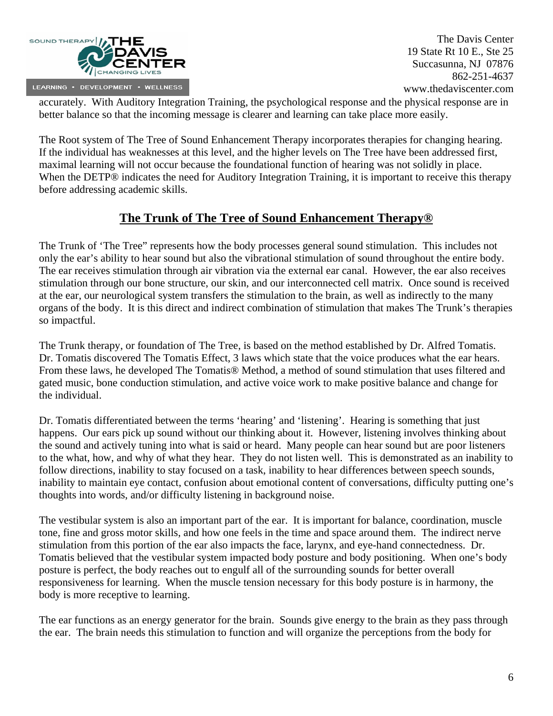

accurately. With Auditory Integration Training, the psychological response and the physical response are in better balance so that the incoming message is clearer and learning can take place more easily.

The Root system of The Tree of Sound Enhancement Therapy incorporates therapies for changing hearing. If the individual has weaknesses at this level, and the higher levels on The Tree have been addressed first, maximal learning will not occur because the foundational function of hearing was not solidly in place. When the DETP® indicates the need for Auditory Integration Training, it is important to receive this therapy before addressing academic skills.

# **The Trunk of The Tree of Sound Enhancement Therapy®**

The Trunk of 'The Tree" represents how the body processes general sound stimulation. This includes not only the ear's ability to hear sound but also the vibrational stimulation of sound throughout the entire body. The ear receives stimulation through air vibration via the external ear canal. However, the ear also receives stimulation through our bone structure, our skin, and our interconnected cell matrix. Once sound is received at the ear, our neurological system transfers the stimulation to the brain, as well as indirectly to the many organs of the body. It is this direct and indirect combination of stimulation that makes The Trunk's therapies so impactful.

The Trunk therapy, or foundation of The Tree, is based on the method established by Dr. Alfred Tomatis. Dr. Tomatis discovered The Tomatis Effect, 3 laws which state that the voice produces what the ear hears. From these laws, he developed The Tomatis® Method, a method of sound stimulation that uses filtered and gated music, bone conduction stimulation, and active voice work to make positive balance and change for the individual.

Dr. Tomatis differentiated between the terms 'hearing' and 'listening'. Hearing is something that just happens. Our ears pick up sound without our thinking about it. However, listening involves thinking about the sound and actively tuning into what is said or heard. Many people can hear sound but are poor listeners to the what, how, and why of what they hear. They do not listen well. This is demonstrated as an inability to follow directions, inability to stay focused on a task, inability to hear differences between speech sounds, inability to maintain eye contact, confusion about emotional content of conversations, difficulty putting one's thoughts into words, and/or difficulty listening in background noise.

The vestibular system is also an important part of the ear. It is important for balance, coordination, muscle tone, fine and gross motor skills, and how one feels in the time and space around them. The indirect nerve stimulation from this portion of the ear also impacts the face, larynx, and eye-hand connectedness. Dr. Tomatis believed that the vestibular system impacted body posture and body positioning. When one's body posture is perfect, the body reaches out to engulf all of the surrounding sounds for better overall responsiveness for learning. When the muscle tension necessary for this body posture is in harmony, the body is more receptive to learning.

The ear functions as an energy generator for the brain. Sounds give energy to the brain as they pass through the ear. The brain needs this stimulation to function and will organize the perceptions from the body for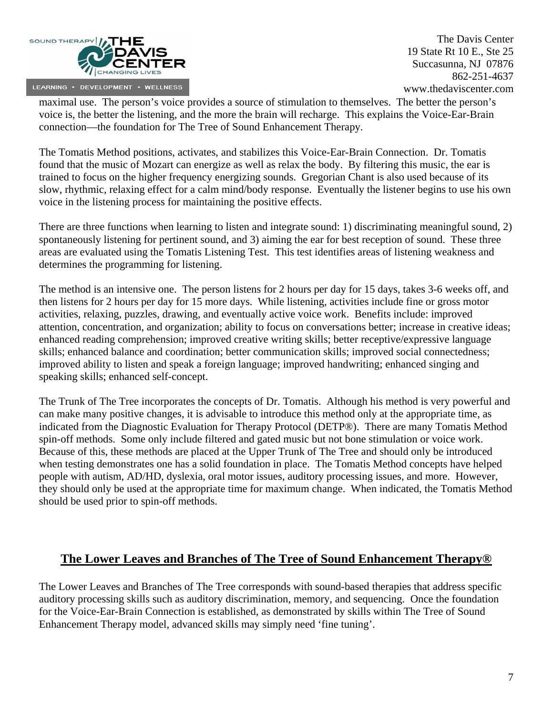

maximal use. The person's voice provides a source of stimulation to themselves. The better the person's voice is, the better the listening, and the more the brain will recharge. This explains the Voice-Ear-Brain connection—the foundation for The Tree of Sound Enhancement Therapy.

The Tomatis Method positions, activates, and stabilizes this Voice-Ear-Brain Connection. Dr. Tomatis found that the music of Mozart can energize as well as relax the body. By filtering this music, the ear is trained to focus on the higher frequency energizing sounds. Gregorian Chant is also used because of its slow, rhythmic, relaxing effect for a calm mind/body response. Eventually the listener begins to use his own voice in the listening process for maintaining the positive effects.

There are three functions when learning to listen and integrate sound: 1) discriminating meaningful sound, 2) spontaneously listening for pertinent sound, and 3) aiming the ear for best reception of sound. These three areas are evaluated using the Tomatis Listening Test. This test identifies areas of listening weakness and determines the programming for listening.

The method is an intensive one. The person listens for 2 hours per day for 15 days, takes 3-6 weeks off, and then listens for 2 hours per day for 15 more days. While listening, activities include fine or gross motor activities, relaxing, puzzles, drawing, and eventually active voice work. Benefits include: improved attention, concentration, and organization; ability to focus on conversations better; increase in creative ideas; enhanced reading comprehension; improved creative writing skills; better receptive/expressive language skills; enhanced balance and coordination; better communication skills; improved social connectedness; improved ability to listen and speak a foreign language; improved handwriting; enhanced singing and speaking skills; enhanced self-concept.

The Trunk of The Tree incorporates the concepts of Dr. Tomatis. Although his method is very powerful and can make many positive changes, it is advisable to introduce this method only at the appropriate time, as indicated from the Diagnostic Evaluation for Therapy Protocol (DETP®). There are many Tomatis Method spin-off methods. Some only include filtered and gated music but not bone stimulation or voice work. Because of this, these methods are placed at the Upper Trunk of The Tree and should only be introduced when testing demonstrates one has a solid foundation in place. The Tomatis Method concepts have helped people with autism, AD/HD, dyslexia, oral motor issues, auditory processing issues, and more. However, they should only be used at the appropriate time for maximum change. When indicated, the Tomatis Method should be used prior to spin-off methods.

### **The Lower Leaves and Branches of The Tree of Sound Enhancement Therapy®**

The Lower Leaves and Branches of The Tree corresponds with sound-based therapies that address specific auditory processing skills such as auditory discrimination, memory, and sequencing. Once the foundation for the Voice-Ear-Brain Connection is established, as demonstrated by skills within The Tree of Sound Enhancement Therapy model, advanced skills may simply need 'fine tuning'.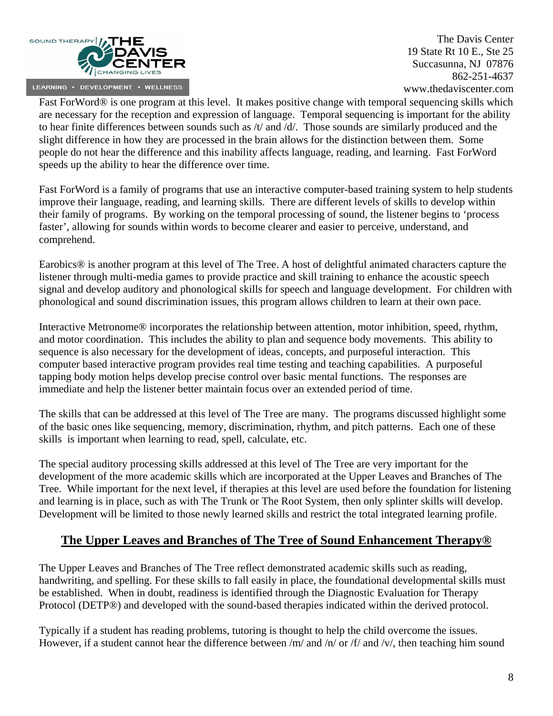

Fast ForWord® is one program at this level. It makes positive change with temporal sequencing skills which are necessary for the reception and expression of language. Temporal sequencing is important for the ability to hear finite differences between sounds such as  $/t$  and  $/d$ . Those sounds are similarly produced and the slight difference in how they are processed in the brain allows for the distinction between them. Some people do not hear the difference and this inability affects language, reading, and learning. Fast ForWord speeds up the ability to hear the difference over time.

Fast ForWord is a family of programs that use an interactive computer-based training system to help students improve their language, reading, and learning skills. There are different levels of skills to develop within their family of programs. By working on the temporal processing of sound, the listener begins to 'process faster', allowing for sounds within words to become clearer and easier to perceive, understand, and comprehend.

Earobics® is another program at this level of The Tree. A host of delightful animated characters capture the listener through multi-media games to provide practice and skill training to enhance the acoustic speech signal and develop auditory and phonological skills for speech and language development. For children with phonological and sound discrimination issues, this program allows children to learn at their own pace.

Interactive Metronome® incorporates the relationship between attention, motor inhibition, speed, rhythm, and motor coordination. This includes the ability to plan and sequence body movements. This ability to sequence is also necessary for the development of ideas, concepts, and purposeful interaction. This computer based interactive program provides real time testing and teaching capabilities. A purposeful tapping body motion helps develop precise control over basic mental functions. The responses are immediate and help the listener better maintain focus over an extended period of time.

The skills that can be addressed at this level of The Tree are many. The programs discussed highlight some of the basic ones like sequencing, memory, discrimination, rhythm, and pitch patterns. Each one of these skills is important when learning to read, spell, calculate, etc.

The special auditory processing skills addressed at this level of The Tree are very important for the development of the more academic skills which are incorporated at the Upper Leaves and Branches of The Tree. While important for the next level, if therapies at this level are used before the foundation for listening and learning is in place, such as with The Trunk or The Root System, then only splinter skills will develop. Development will be limited to those newly learned skills and restrict the total integrated learning profile.

# **The Upper Leaves and Branches of The Tree of Sound Enhancement Therapy®**

The Upper Leaves and Branches of The Tree reflect demonstrated academic skills such as reading, handwriting, and spelling. For these skills to fall easily in place, the foundational developmental skills must be established. When in doubt, readiness is identified through the Diagnostic Evaluation for Therapy Protocol (DETP®) and developed with the sound-based therapies indicated within the derived protocol.

Typically if a student has reading problems, tutoring is thought to help the child overcome the issues. However, if a student cannot hear the difference between /m/ and /n/ or /f/ and /v/, then teaching him sound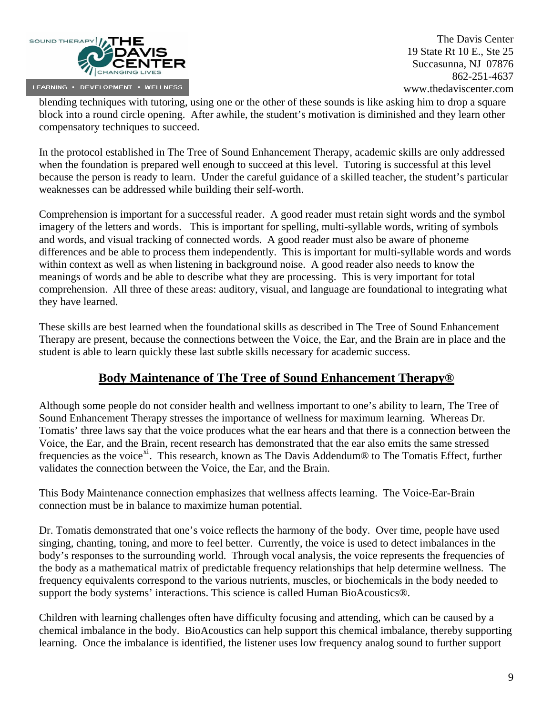

blending techniques with tutoring, using one or the other of these sounds is like asking him to drop a square block into a round circle opening. After awhile, the student's motivation is diminished and they learn other compensatory techniques to succeed.

In the protocol established in The Tree of Sound Enhancement Therapy, academic skills are only addressed when the foundation is prepared well enough to succeed at this level. Tutoring is successful at this level because the person is ready to learn. Under the careful guidance of a skilled teacher, the student's particular weaknesses can be addressed while building their self-worth.

Comprehension is important for a successful reader. A good reader must retain sight words and the symbol imagery of the letters and words. This is important for spelling, multi-syllable words, writing of symbols and words, and visual tracking of connected words. A good reader must also be aware of phoneme differences and be able to process them independently. This is important for multi-syllable words and words within context as well as when listening in background noise. A good reader also needs to know the meanings of words and be able to describe what they are processing. This is very important for total comprehension. All three of these areas: auditory, visual, and language are foundational to integrating what they have learned.

These skills are best learned when the foundational skills as described in The Tree of Sound Enhancement Therapy are present, because the connections between the Voice, the Ear, and the Brain are in place and the student is able to learn quickly these last subtle skills necessary for academic success.

# **Body Maintenance of The Tree of Sound Enhancement Therapy®**

Although some people do not consider health and wellness important to one's ability to learn, The Tree of Sound Enhancement Therapy stresses the importance of wellness for maximum learning. Whereas Dr. Tomatis' three laws say that the voice produces what the ear hears and that there is a connection between the Voice, the Ear, and the Brain, recent research has demonstrated that the ear also emits the same stressed frequencies as the voice<sup>[xi](#page-9-1)</sup>. This research, known as The Davis Addendum<sup>®</sup> to The Tomatis Effect, further validates the connection between the Voice, the Ear, and the Brain.

This Body Maintenance connection emphasizes that wellness affects learning. The Voice-Ear-Brain connection must be in balance to maximize human potential.

Dr. Tomatis demonstrated that one's voice reflects the harmony of the body. Over time, people have used singing, chanting, toning, and more to feel better. Currently, the voice is used to detect imbalances in the body's responses to the surrounding world. Through vocal analysis, the voice represents the frequencies of the body as a mathematical matrix of predictable frequency relationships that help determine wellness. The frequency equivalents correspond to the various nutrients, muscles, or biochemicals in the body needed to support the body systems' interactions. This science is called Human BioAcoustics®.

Children with learning challenges often have difficulty focusing and attending, which can be caused by a chemical imbalance in the body. BioAcoustics can help support this chemical imbalance, thereby supporting learning. Once the imbalance is identified, the listener uses low frequency analog sound to further support